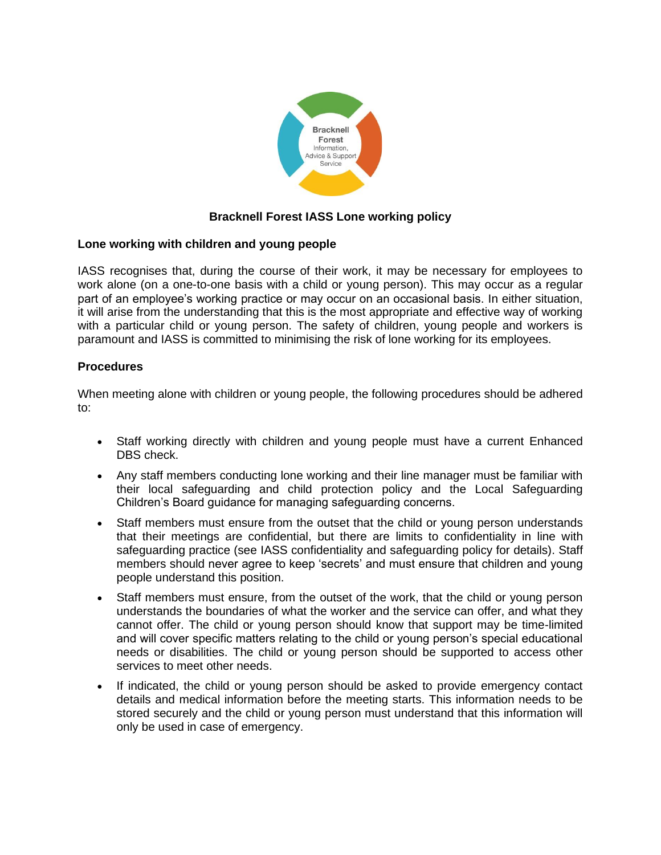

# **Bracknell Forest IASS Lone working policy**

# **Lone working with children and young people**

IASS recognises that, during the course of their work, it may be necessary for employees to work alone (on a one-to-one basis with a child or young person). This may occur as a regular part of an employee's working practice or may occur on an occasional basis. In either situation, it will arise from the understanding that this is the most appropriate and effective way of working with a particular child or young person. The safety of children, young people and workers is paramount and IASS is committed to minimising the risk of lone working for its employees.

# **Procedures**

When meeting alone with children or young people, the following procedures should be adhered to:

- Staff working directly with children and young people must have a current Enhanced DBS check.
- Any staff members conducting lone working and their line manager must be familiar with their local safeguarding and child protection policy and the Local Safeguarding Children's Board guidance for managing safeguarding concerns.
- Staff members must ensure from the outset that the child or young person understands that their meetings are confidential, but there are limits to confidentiality in line with safeguarding practice (see IASS confidentiality and safeguarding policy for details). Staff members should never agree to keep 'secrets' and must ensure that children and young people understand this position.
- Staff members must ensure, from the outset of the work, that the child or young person understands the boundaries of what the worker and the service can offer, and what they cannot offer. The child or young person should know that support may be time-limited and will cover specific matters relating to the child or young person's special educational needs or disabilities. The child or young person should be supported to access other services to meet other needs.
- If indicated, the child or young person should be asked to provide emergency contact details and medical information before the meeting starts. This information needs to be stored securely and the child or young person must understand that this information will only be used in case of emergency.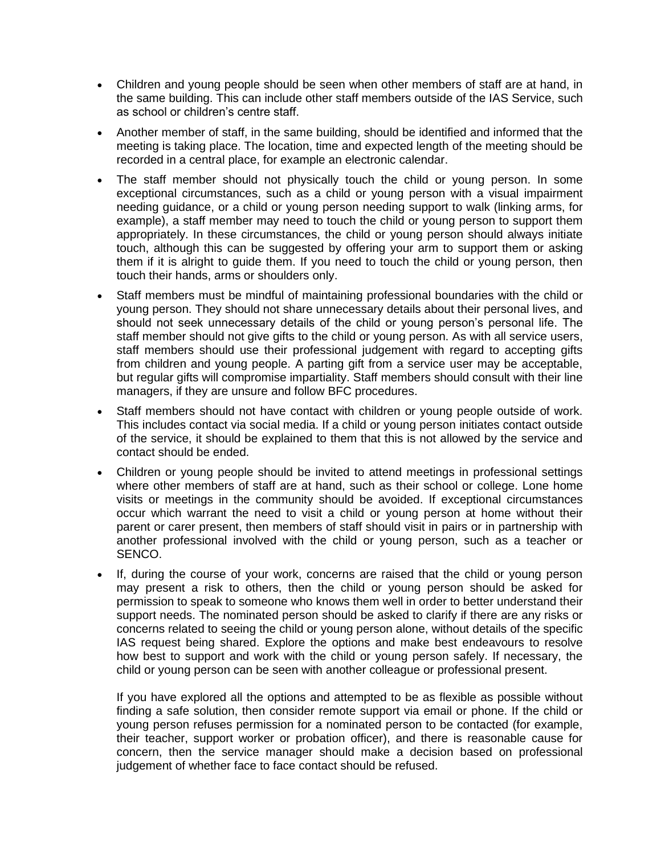- Children and young people should be seen when other members of staff are at hand, in the same building. This can include other staff members outside of the IAS Service, such as school or children's centre staff.
- Another member of staff, in the same building, should be identified and informed that the meeting is taking place. The location, time and expected length of the meeting should be recorded in a central place, for example an electronic calendar.
- The staff member should not physically touch the child or young person. In some exceptional circumstances, such as a child or young person with a visual impairment needing guidance, or a child or young person needing support to walk (linking arms, for example), a staff member may need to touch the child or young person to support them appropriately. In these circumstances, the child or young person should always initiate touch, although this can be suggested by offering your arm to support them or asking them if it is alright to guide them. If you need to touch the child or young person, then touch their hands, arms or shoulders only.
- Staff members must be mindful of maintaining professional boundaries with the child or young person. They should not share unnecessary details about their personal lives, and should not seek unnecessary details of the child or young person's personal life. The staff member should not give gifts to the child or young person. As with all service users, staff members should use their professional judgement with regard to accepting gifts from children and young people. A parting gift from a service user may be acceptable, but regular gifts will compromise impartiality. Staff members should consult with their line managers, if they are unsure and follow BFC procedures.
- Staff members should not have contact with children or young people outside of work. This includes contact via social media. If a child or young person initiates contact outside of the service, it should be explained to them that this is not allowed by the service and contact should be ended.
- Children or young people should be invited to attend meetings in professional settings where other members of staff are at hand, such as their school or college. Lone home visits or meetings in the community should be avoided. If exceptional circumstances occur which warrant the need to visit a child or young person at home without their parent or carer present, then members of staff should visit in pairs or in partnership with another professional involved with the child or young person, such as a teacher or SENCO.
- If, during the course of your work, concerns are raised that the child or young person may present a risk to others, then the child or young person should be asked for permission to speak to someone who knows them well in order to better understand their support needs. The nominated person should be asked to clarify if there are any risks or concerns related to seeing the child or young person alone, without details of the specific IAS request being shared. Explore the options and make best endeavours to resolve how best to support and work with the child or young person safely. If necessary, the child or young person can be seen with another colleague or professional present.

If you have explored all the options and attempted to be as flexible as possible without finding a safe solution, then consider remote support via email or phone. If the child or young person refuses permission for a nominated person to be contacted (for example, their teacher, support worker or probation officer), and there is reasonable cause for concern, then the service manager should make a decision based on professional judgement of whether face to face contact should be refused.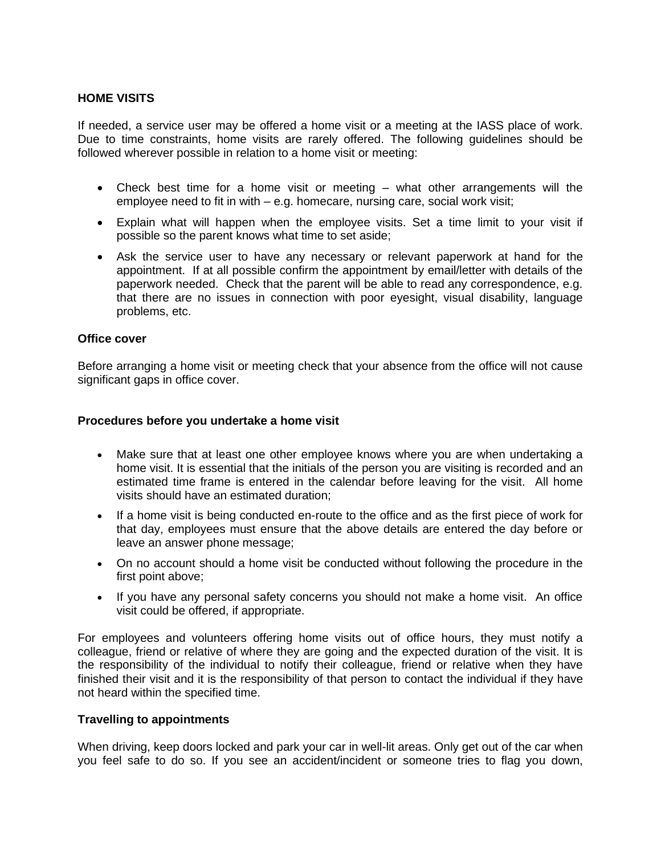# **HOME VISITS**

If needed, a service user may be offered a home visit or a meeting at the IASS place of work. Due to time constraints, home visits are rarely offered. The following guidelines should be followed wherever possible in relation to a home visit or meeting:

- Check best time for a home visit or meeting what other arrangements will the employee need to fit in with – e.g. homecare, nursing care, social work visit;
- Explain what will happen when the employee visits. Set a time limit to your visit if possible so the parent knows what time to set aside;
- Ask the service user to have any necessary or relevant paperwork at hand for the appointment. If at all possible confirm the appointment by email/letter with details of the paperwork needed. Check that the parent will be able to read any correspondence, e.g. that there are no issues in connection with poor eyesight, visual disability, language problems, etc.

# **Office cover**

Before arranging a home visit or meeting check that your absence from the office will not cause significant gaps in office cover.

#### **Procedures before you undertake a home visit**

- Make sure that at least one other employee knows where you are when undertaking a home visit. It is essential that the initials of the person you are visiting is recorded and an estimated time frame is entered in the calendar before leaving for the visit. All home visits should have an estimated duration;
- If a home visit is being conducted en-route to the office and as the first piece of work for that day, employees must ensure that the above details are entered the day before or leave an answer phone message;
- On no account should a home visit be conducted without following the procedure in the first point above;
- If you have any personal safety concerns you should not make a home visit. An office visit could be offered, if appropriate.

For employees and volunteers offering home visits out of office hours, they must notify a colleague, friend or relative of where they are going and the expected duration of the visit. It is the responsibility of the individual to notify their colleague, friend or relative when they have finished their visit and it is the responsibility of that person to contact the individual if they have not heard within the specified time.

## **Travelling to appointments**

When driving, keep doors locked and park your car in well-lit areas. Only get out of the car when you feel safe to do so. If you see an accident/incident or someone tries to flag you down,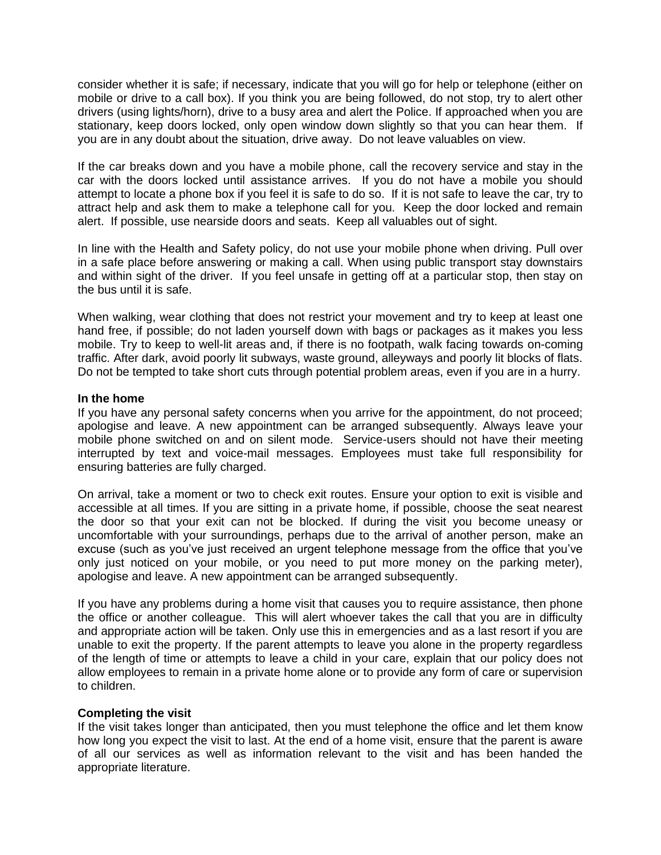consider whether it is safe; if necessary, indicate that you will go for help or telephone (either on mobile or drive to a call box). If you think you are being followed, do not stop, try to alert other drivers (using lights/horn), drive to a busy area and alert the Police. If approached when you are stationary, keep doors locked, only open window down slightly so that you can hear them. If you are in any doubt about the situation, drive away. Do not leave valuables on view.

If the car breaks down and you have a mobile phone, call the recovery service and stay in the car with the doors locked until assistance arrives. If you do not have a mobile you should attempt to locate a phone box if you feel it is safe to do so. If it is not safe to leave the car, try to attract help and ask them to make a telephone call for you. Keep the door locked and remain alert. If possible, use nearside doors and seats. Keep all valuables out of sight.

In line with the Health and Safety policy, do not use your mobile phone when driving. Pull over in a safe place before answering or making a call. When using public transport stay downstairs and within sight of the driver. If you feel unsafe in getting off at a particular stop, then stay on the bus until it is safe.

When walking, wear clothing that does not restrict your movement and try to keep at least one hand free, if possible; do not laden yourself down with bags or packages as it makes you less mobile. Try to keep to well-lit areas and, if there is no footpath, walk facing towards on-coming traffic. After dark, avoid poorly lit subways, waste ground, alleyways and poorly lit blocks of flats. Do not be tempted to take short cuts through potential problem areas, even if you are in a hurry.

## **In the home**

If you have any personal safety concerns when you arrive for the appointment, do not proceed; apologise and leave. A new appointment can be arranged subsequently. Always leave your mobile phone switched on and on silent mode. Service-users should not have their meeting interrupted by text and voice-mail messages. Employees must take full responsibility for ensuring batteries are fully charged.

On arrival, take a moment or two to check exit routes. Ensure your option to exit is visible and accessible at all times. If you are sitting in a private home, if possible, choose the seat nearest the door so that your exit can not be blocked. If during the visit you become uneasy or uncomfortable with your surroundings, perhaps due to the arrival of another person, make an excuse (such as you've just received an urgent telephone message from the office that you've only just noticed on your mobile, or you need to put more money on the parking meter), apologise and leave. A new appointment can be arranged subsequently.

If you have any problems during a home visit that causes you to require assistance, then phone the office or another colleague. This will alert whoever takes the call that you are in difficulty and appropriate action will be taken. Only use this in emergencies and as a last resort if you are unable to exit the property. If the parent attempts to leave you alone in the property regardless of the length of time or attempts to leave a child in your care, explain that our policy does not allow employees to remain in a private home alone or to provide any form of care or supervision to children.

## **Completing the visit**

If the visit takes longer than anticipated, then you must telephone the office and let them know how long you expect the visit to last. At the end of a home visit, ensure that the parent is aware of all our services as well as information relevant to the visit and has been handed the appropriate literature.